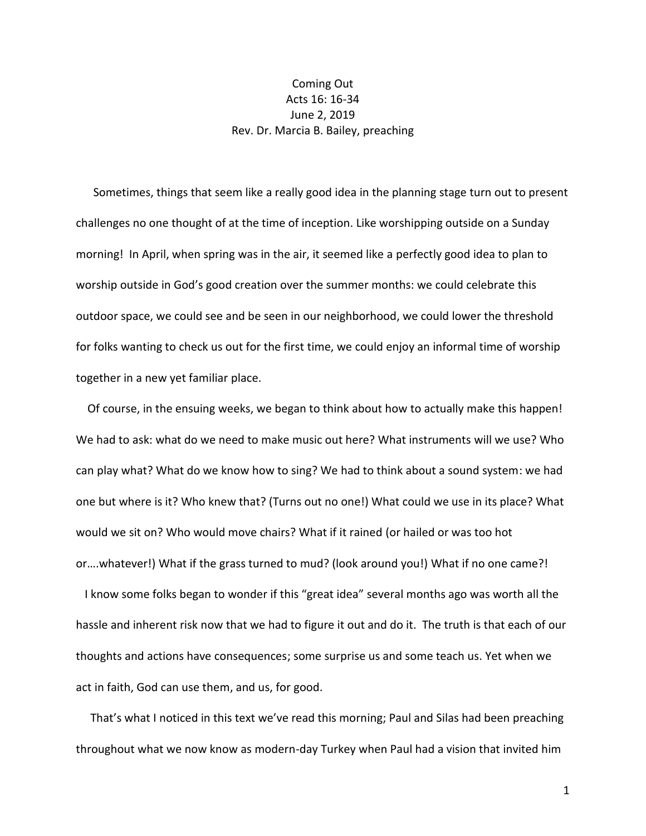## Coming Out Acts 16: 16-34 June 2, 2019 Rev. Dr. Marcia B. Bailey, preaching

 Sometimes, things that seem like a really good idea in the planning stage turn out to present challenges no one thought of at the time of inception. Like worshipping outside on a Sunday morning! In April, when spring was in the air, it seemed like a perfectly good idea to plan to worship outside in God's good creation over the summer months: we could celebrate this outdoor space, we could see and be seen in our neighborhood, we could lower the threshold for folks wanting to check us out for the first time, we could enjoy an informal time of worship together in a new yet familiar place.

 Of course, in the ensuing weeks, we began to think about how to actually make this happen! We had to ask: what do we need to make music out here? What instruments will we use? Who can play what? What do we know how to sing? We had to think about a sound system: we had one but where is it? Who knew that? (Turns out no one!) What could we use in its place? What would we sit on? Who would move chairs? What if it rained (or hailed or was too hot or….whatever!) What if the grass turned to mud? (look around you!) What if no one came?!

 I know some folks began to wonder if this "great idea" several months ago was worth all the hassle and inherent risk now that we had to figure it out and do it. The truth is that each of our thoughts and actions have consequences; some surprise us and some teach us. Yet when we act in faith, God can use them, and us, for good.

 That's what I noticed in this text we've read this morning; Paul and Silas had been preaching throughout what we now know as modern-day Turkey when Paul had a vision that invited him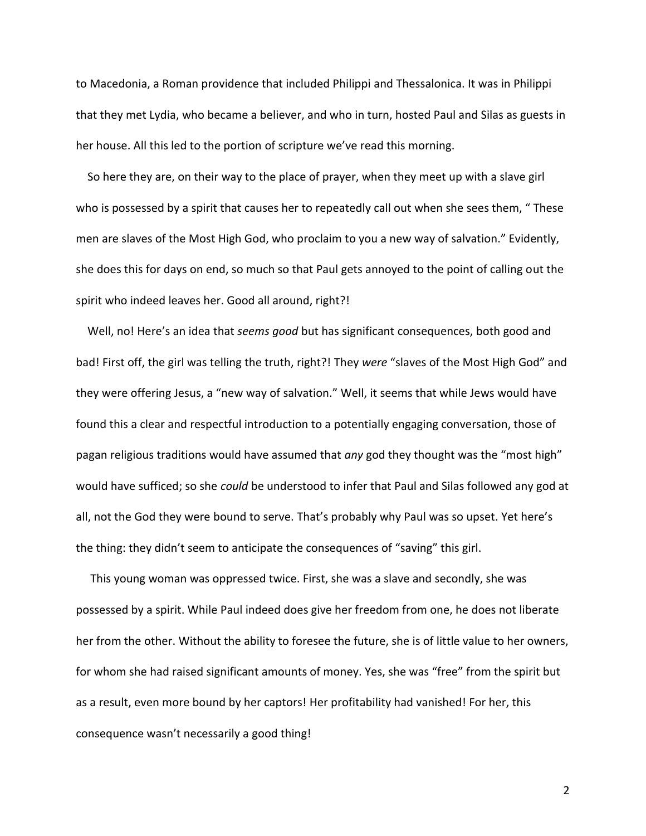to Macedonia, a Roman providence that included Philippi and Thessalonica. It was in Philippi that they met Lydia, who became a believer, and who in turn, hosted Paul and Silas as guests in her house. All this led to the portion of scripture we've read this morning.

 So here they are, on their way to the place of prayer, when they meet up with a slave girl who is possessed by a spirit that causes her to repeatedly call out when she sees them, "These men are slaves of the Most High God, who proclaim to you a new way of salvation." Evidently, she does this for days on end, so much so that Paul gets annoyed to the point of calling out the spirit who indeed leaves her. Good all around, right?!

 Well, no! Here's an idea that *seems good* but has significant consequences, both good and bad! First off, the girl was telling the truth, right?! They *were* "slaves of the Most High God" and they were offering Jesus, a "new way of salvation." Well, it seems that while Jews would have found this a clear and respectful introduction to a potentially engaging conversation, those of pagan religious traditions would have assumed that *any* god they thought was the "most high" would have sufficed; so she *could* be understood to infer that Paul and Silas followed any god at all, not the God they were bound to serve. That's probably why Paul was so upset. Yet here's the thing: they didn't seem to anticipate the consequences of "saving" this girl.

 This young woman was oppressed twice. First, she was a slave and secondly, she was possessed by a spirit. While Paul indeed does give her freedom from one, he does not liberate her from the other. Without the ability to foresee the future, she is of little value to her owners, for whom she had raised significant amounts of money. Yes, she was "free" from the spirit but as a result, even more bound by her captors! Her profitability had vanished! For her, this consequence wasn't necessarily a good thing!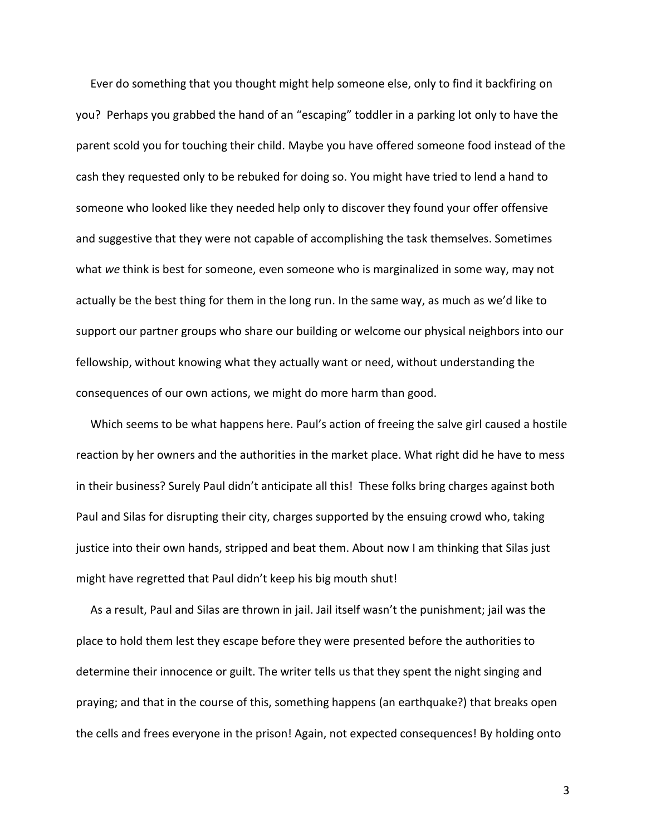Ever do something that you thought might help someone else, only to find it backfiring on you? Perhaps you grabbed the hand of an "escaping" toddler in a parking lot only to have the parent scold you for touching their child. Maybe you have offered someone food instead of the cash they requested only to be rebuked for doing so. You might have tried to lend a hand to someone who looked like they needed help only to discover they found your offer offensive and suggestive that they were not capable of accomplishing the task themselves. Sometimes what *we* think is best for someone, even someone who is marginalized in some way, may not actually be the best thing for them in the long run. In the same way, as much as we'd like to support our partner groups who share our building or welcome our physical neighbors into our fellowship, without knowing what they actually want or need, without understanding the consequences of our own actions, we might do more harm than good.

 Which seems to be what happens here. Paul's action of freeing the salve girl caused a hostile reaction by her owners and the authorities in the market place. What right did he have to mess in their business? Surely Paul didn't anticipate all this! These folks bring charges against both Paul and Silas for disrupting their city, charges supported by the ensuing crowd who, taking justice into their own hands, stripped and beat them. About now I am thinking that Silas just might have regretted that Paul didn't keep his big mouth shut!

 As a result, Paul and Silas are thrown in jail. Jail itself wasn't the punishment; jail was the place to hold them lest they escape before they were presented before the authorities to determine their innocence or guilt. The writer tells us that they spent the night singing and praying; and that in the course of this, something happens (an earthquake?) that breaks open the cells and frees everyone in the prison! Again, not expected consequences! By holding onto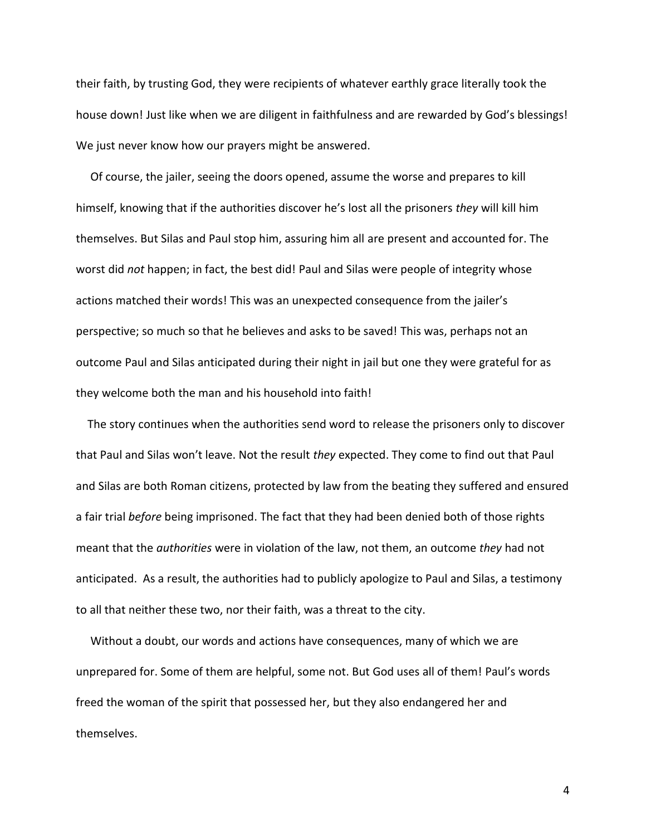their faith, by trusting God, they were recipients of whatever earthly grace literally took the house down! Just like when we are diligent in faithfulness and are rewarded by God's blessings! We just never know how our prayers might be answered.

 Of course, the jailer, seeing the doors opened, assume the worse and prepares to kill himself, knowing that if the authorities discover he's lost all the prisoners *they* will kill him themselves. But Silas and Paul stop him, assuring him all are present and accounted for. The worst did *not* happen; in fact, the best did! Paul and Silas were people of integrity whose actions matched their words! This was an unexpected consequence from the jailer's perspective; so much so that he believes and asks to be saved! This was, perhaps not an outcome Paul and Silas anticipated during their night in jail but one they were grateful for as they welcome both the man and his household into faith!

 The story continues when the authorities send word to release the prisoners only to discover that Paul and Silas won't leave. Not the result *they* expected. They come to find out that Paul and Silas are both Roman citizens, protected by law from the beating they suffered and ensured a fair trial *before* being imprisoned. The fact that they had been denied both of those rights meant that the *authorities* were in violation of the law, not them, an outcome *they* had not anticipated. As a result, the authorities had to publicly apologize to Paul and Silas, a testimony to all that neither these two, nor their faith, was a threat to the city.

 Without a doubt, our words and actions have consequences, many of which we are unprepared for. Some of them are helpful, some not. But God uses all of them! Paul's words freed the woman of the spirit that possessed her, but they also endangered her and themselves.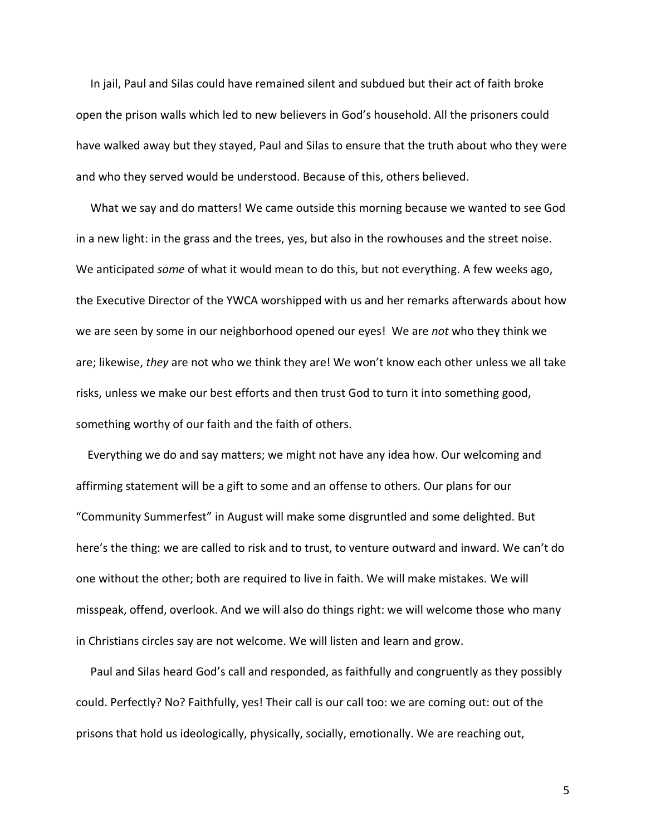In jail, Paul and Silas could have remained silent and subdued but their act of faith broke open the prison walls which led to new believers in God's household. All the prisoners could have walked away but they stayed, Paul and Silas to ensure that the truth about who they were and who they served would be understood. Because of this, others believed.

 What we say and do matters! We came outside this morning because we wanted to see God in a new light: in the grass and the trees, yes, but also in the rowhouses and the street noise. We anticipated *some* of what it would mean to do this, but not everything. A few weeks ago, the Executive Director of the YWCA worshipped with us and her remarks afterwards about how we are seen by some in our neighborhood opened our eyes! We are *not* who they think we are; likewise, *they* are not who we think they are! We won't know each other unless we all take risks, unless we make our best efforts and then trust God to turn it into something good, something worthy of our faith and the faith of others.

 Everything we do and say matters; we might not have any idea how. Our welcoming and affirming statement will be a gift to some and an offense to others. Our plans for our "Community Summerfest" in August will make some disgruntled and some delighted. But here's the thing: we are called to risk and to trust, to venture outward and inward. We can't do one without the other; both are required to live in faith. We will make mistakes. We will misspeak, offend, overlook. And we will also do things right: we will welcome those who many in Christians circles say are not welcome. We will listen and learn and grow.

 Paul and Silas heard God's call and responded, as faithfully and congruently as they possibly could. Perfectly? No? Faithfully, yes! Their call is our call too: we are coming out: out of the prisons that hold us ideologically, physically, socially, emotionally. We are reaching out,